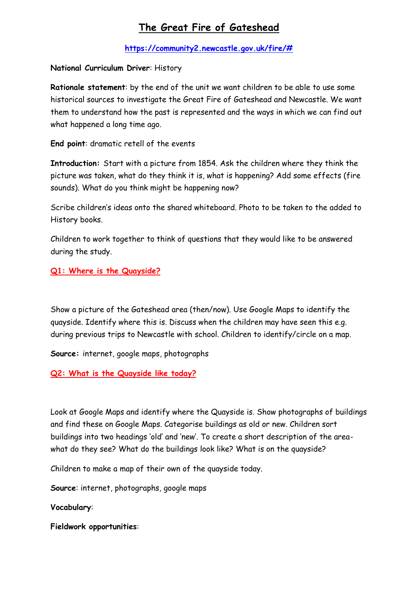# **The Great Fire of Gateshead**

**[https://community2.newcastle.gov.uk/fire/#](https://community2.newcastle.gov.uk/fire/)**

**National Curriculum Driver**: History

**Rationale statement**: by the end of the unit we want children to be able to use some historical sources to investigate the Great Fire of Gateshead and Newcastle. We want them to understand how the past is represented and the ways in which we can find out what happened a long time ago.

**End point**: dramatic retell of the events

**Introduction:** Start with a picture from 1854. Ask the children where they think the picture was taken, what do they think it is, what is happening? Add some effects (fire sounds). What do you think might be happening now?

Scribe children's ideas onto the shared whiteboard. Photo to be taken to the added to History books.

Children to work together to think of questions that they would like to be answered during the study.

**Q1: Where is the Quayside?**

Show a picture of the Gateshead area (then/now). Use Google Maps to identify the quayside. Identify where this is. Discuss when the children may have seen this e.g. during previous trips to Newcastle with school. Children to identify/circle on a map.

**Source:** internet, google maps, photographs

**Q2: What is the Quayside like today?**

Look at Google Maps and identify where the Quayside is. Show photographs of buildings and find these on Google Maps. Categorise buildings as old or new. Children sort buildings into two headings 'old' and 'new'. To create a short description of the areawhat do they see? What do the buildings look like? What is on the quayside?

Children to make a map of their own of the quayside today.

**Source**: internet, photographs, google maps

**Vocabulary**:

**Fieldwork opportunities**: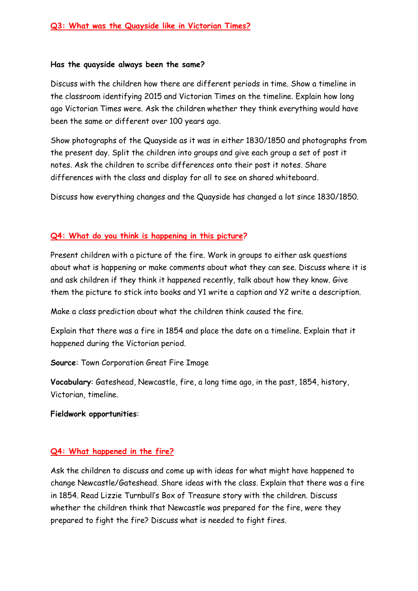#### **Has the quayside always been the same?**

Discuss with the children how there are different periods in time. Show a timeline in the classroom identifying 2015 and Victorian Times on the timeline. Explain how long ago Victorian Times were. Ask the children whether they think everything would have been the same or different over 100 years ago.

Show photographs of the Quayside as it was in either 1830/1850 and photographs from the present day. Split the children into groups and give each group a set of post it notes. Ask the children to scribe differences onto their post it notes. Share differences with the class and display for all to see on shared whiteboard.

Discuss how everything changes and the Quayside has changed a lot since 1830/1850.

### **Q4: What do you think is happening in this picture?**

Present children with a picture of the fire. Work in groups to either ask questions about what is happening or make comments about what they can see. Discuss where it is and ask children if they think it happened recently, talk about how they know. Give them the picture to stick into books and Y1 write a caption and Y2 write a description.

Make a class prediction about what the children think caused the fire.

Explain that there was a fire in 1854 and place the date on a timeline. Explain that it happened during the Victorian period.

**Source**: Town Corporation Great Fire Image

**Vocabulary**: Gateshead, Newcastle, fire, a long time ago, in the past, 1854, history, Victorian, timeline.

#### **Fieldwork opportunities**:

#### **Q4: What happened in the fire?**

Ask the children to discuss and come up with ideas for what might have happened to change Newcastle/Gateshead. Share ideas with the class. Explain that there was a fire in 1854. Read Lizzie Turnbull's Box of Treasure story with the children. Discuss whether the children think that Newcastle was prepared for the fire, were they prepared to fight the fire? Discuss what is needed to fight fires.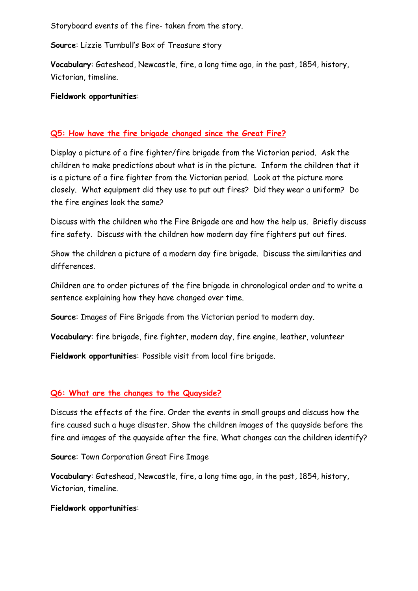Storyboard events of the fire- taken from the story.

**Source**: Lizzie Turnbull's Box of Treasure story

**Vocabulary**: Gateshead, Newcastle, fire, a long time ago, in the past, 1854, history, Victorian, timeline.

**Fieldwork opportunities**:

# **Q5: How have the fire brigade changed since the Great Fire?**

Display a picture of a fire fighter/fire brigade from the Victorian period. Ask the children to make predictions about what is in the picture. Inform the children that it is a picture of a fire fighter from the Victorian period. Look at the picture more closely. What equipment did they use to put out fires? Did they wear a uniform? Do the fire engines look the same?

Discuss with the children who the Fire Brigade are and how the help us. Briefly discuss fire safety. Discuss with the children how modern day fire fighters put out fires.

Show the children a picture of a modern day fire brigade. Discuss the similarities and differences.

Children are to order pictures of the fire brigade in chronological order and to write a sentence explaining how they have changed over time.

**Source**: Images of Fire Brigade from the Victorian period to modern day.

**Vocabulary**: fire brigade, fire fighter, modern day, fire engine, leather, volunteer

**Fieldwork opportunities**: Possible visit from local fire brigade.

## **Q6: What are the changes to the Quayside?**

Discuss the effects of the fire. Order the events in small groups and discuss how the fire caused such a huge disaster. Show the children images of the quayside before the fire and images of the quayside after the fire. What changes can the children identify?

**Source**: Town Corporation Great Fire Image

**Vocabulary**: Gateshead, Newcastle, fire, a long time ago, in the past, 1854, history, Victorian, timeline.

## **Fieldwork opportunities**: